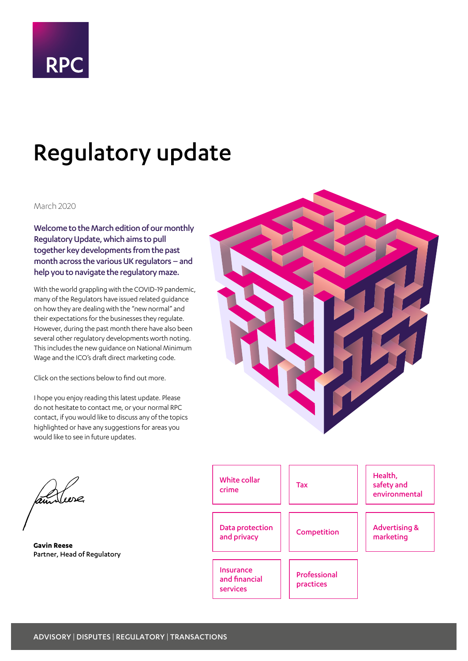

# Regulatory update

#### March 2020

Welcome to the March edition of our monthly Regulatory Update, which aims to pull together key developments from the past month across the various UK regulators – and help you to navigate the regulatory maze.

With the world grappling with the COVID-19 pandemic, many of the Regulators have issued related guidance on how they are dealing with the "new normal" and their expectations for the businesses they regulate. However, during the past month there have also been several other regulatory developments worth noting. This includes the new guidance on National Minimum Wage and the ICO's draft direct marketing code.

Click on the sections below to find out more.

I hope you enjoy reading this latest update. Please do not hesitate to contact me, or your normal RPC contact, if you would like to discuss any of the topics highlighted or have any suggestions for areas you would like to see in future updates.



 $\mathcal{L}$ 

**Gavin Reese** Partner, Head of Regulatory

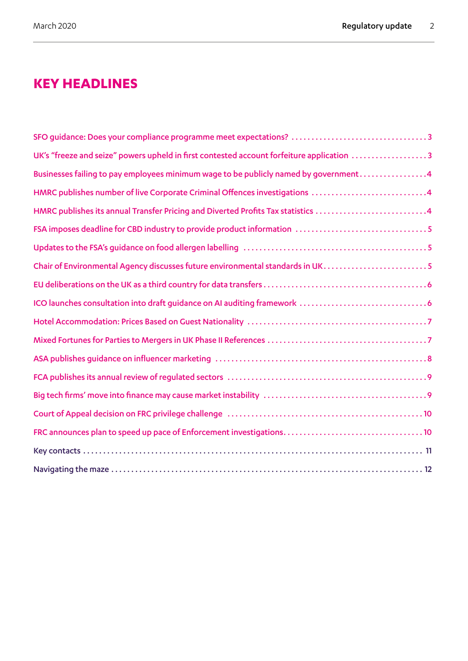### <span id="page-1-0"></span>**KEY HEADLINES**

| UK's "freeze and seize" powers upheld in first contested account forfeiture application 3 |
|-------------------------------------------------------------------------------------------|
| Businesses failing to pay employees minimum wage to be publicly named by government4      |
| HMRC publishes number of live Corporate Criminal Offences investigations 4                |
| HMRC publishes its annual Transfer Pricing and Diverted Profits Tax statistics 4          |
|                                                                                           |
|                                                                                           |
| Chair of Environmental Agency discusses future environmental standards in UK5             |
|                                                                                           |
|                                                                                           |
|                                                                                           |
|                                                                                           |
|                                                                                           |
|                                                                                           |
|                                                                                           |
|                                                                                           |
|                                                                                           |
|                                                                                           |
|                                                                                           |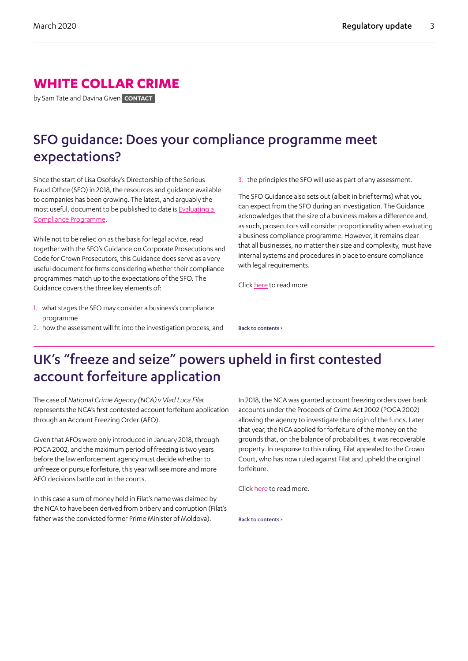### <span id="page-2-0"></span>**WHITE COLLAR CRIME**

by Sam Tate and Davina Given **CONTACT**

## SFO guidance: Does your compliance programme meet expectations?

Since the start of Lisa Osofsky's Directorship of the Serious Fraud Office (SFO) in 2018, the resources and guidance available to companies has been growing. The latest, and arguably the most useful, document to be published to date is [Evaluating a](https://www.sfo.gov.uk/download/evaluating-a-compliance-programme/?wpdmdl=25403)  [Compliance Programme](https://www.sfo.gov.uk/download/evaluating-a-compliance-programme/?wpdmdl=25403).

While not to be relied on as the basis for legal advice, read together with the SFO's Guidance on Corporate Prosecutions and Code for Crown Prosecutors, this Guidance does serve as a very useful document for firms considering whether their compliance programmes match up to the expectations of the SFO. The Guidance covers the three key elements of:

- 1. what stages the SFO may consider a business's compliance programme
- 2. how the assessment will fit into the investigation process, and

3. the principles the SFO will use as part of any assessment.

The SFO Guidance also sets out (albeit in brief terms) what you can expect from the SFO during an investigation. The Guidance acknowledges that the size of a business makes a difference and, as such, prosecutors will consider proportionality when evaluating a business compliance programme. However, it remains clear that all businesses, no matter their size and complexity, must have internal systems and procedures in place to ensure compliance with legal requirements.

Click [here](https://www.sfo.gov.uk/download/evaluating-a-compliance-programme/?wpdmdl=25403) to read more

[Back to contents >](#page-1-0)

### UK's "freeze and seize" powers upheld in first contested account forfeiture application

The case of *National Crime Agency (NCA) v Vlad Luca Filat*  represents the NCA's first contested account forfeiture application through an Account Freezing Order (AFO).

Given that AFOs were only introduced in January 2018, through POCA 2002, and the maximum period of freezing is two years before the law enforcement agency must decide whether to unfreeze or pursue forfeiture, this year will see more and more AFO decisions battle out in the courts.

In this case a sum of money held in Filat's name was claimed by the NCA to have been derived from bribery and corruption (Filat's father was the convicted former Prime Minister of Moldova).

In 2018, the NCA was granted account freezing orders over bank accounts under the Proceeds of Crime Act 2002 (POCA 2002) allowing the agency to investigate the origin of the funds. Later that year, the NCA applied for forfeiture of the money on the grounds that, on the balance of probabilities, it was recoverable property. In response to this ruling, Filat appealed to the Crown Court, who has now ruled against Filat and upheld the original forfeiture.

Click [here](https://fcpablog.com/2019/11/20/uks-new-freeze-and-seize-powers-upheld-in-moldovan-money-laundering-case/) to read more.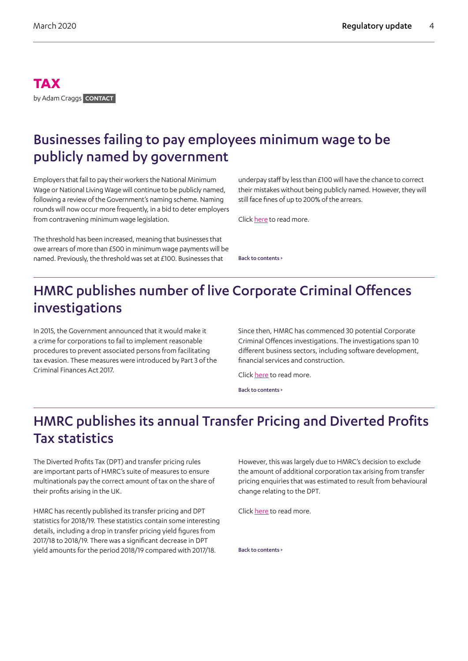#### <span id="page-3-0"></span>**TAX** by Adam Craggs **CONTACT**

## Businesses failing to pay employees minimum wage to be publicly named by government

Employers that fail to pay their workers the National Minimum Wage or National Living Wage will continue to be publicly named, following a review of the Government's naming scheme. Naming rounds will now occur more frequently, in a bid to deter employers from contravening minimum wage legislation.

The threshold has been increased, meaning that businesses that owe arrears of more than £500 in minimum wage payments will be named. Previously, the threshold was set at £100. Businesses that

underpay staff by less than £100 will have the chance to correct their mistakes without being publicly named. However, they will still face fines of up to 200% of the arrears.

Click [here](https://www.gov.uk/government/news/naming-employers-who-fail-to-pay-minimum-wage-to-be-resumed-under-revamped-rules?fhch=763aac1648bcef63f24eb4c66ee69969) to read more.

[Back to contents >](#page-1-0)

## HMRC publishes number of live Corporate Criminal Offences investigations

In 2015, the Government announced that it would make it a crime for corporations to fail to implement reasonable procedures to prevent associated persons from facilitating tax evasion. These measures were introduced by Part 3 of the Criminal Finances Act 2017.

Since then, HMRC has commenced 30 potential Corporate Criminal Offences investigations. The investigations span 10 different business sectors, including software development, financial services and construction.

Click [here](https://www.gov.uk/government/publications/number-of-live-corporate-criminal-offences-investigations/number-of-live-corporate-criminal-offences-investigations) to read more.

[Back to contents >](#page-1-0)

## HMRC publishes its annual Transfer Pricing and Diverted Profits Tax statistics

The Diverted Profits Tax (DPT) and transfer pricing rules are important parts of HMRC's suite of measures to ensure multinationals pay the correct amount of tax on the share of their profits arising in the UK.

HMRC has recently published its transfer pricing and DPT statistics for 2018/19. These statistics contain some interesting details, including a drop in transfer pricing yield figures from 2017/18 to 2018/19. There was a significant decrease in DPT yield amounts for the period 2018/19 compared with 2017/18.

However, this was largely due to HMRC's decision to exclude the amount of additional corporation tax arising from transfer pricing enquiries that was estimated to result from behavioural change relating to the DPT.

Click [here](https://www.gov.uk/government/publications/transfer-pricing-and-diverted-profits-tax-statistics-to-2018-to-2019/transfer-pricing-and-diverted-profits-tax-statistics-2018-to-2019) to read more.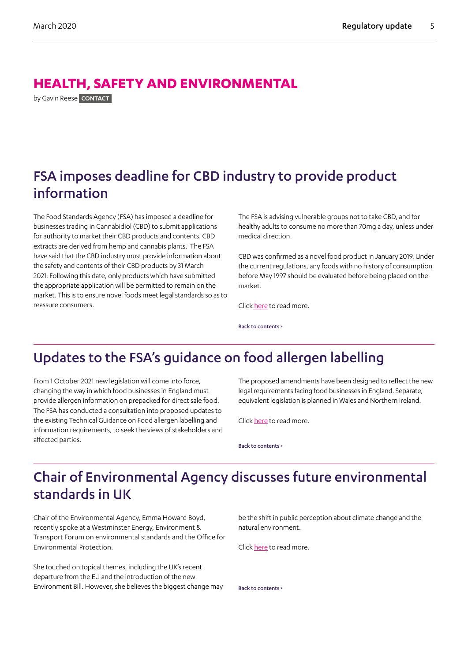### <span id="page-4-0"></span>**HEALTH, SAFETY AND ENVIRONMENTAL**

by Gavin Reese **CONTACT**

## FSA imposes deadline for CBD industry to provide product information

The Food Standards Agency (FSA) has imposed a deadline for businesses trading in Cannabidiol (CBD) to submit applications for authority to market their CBD products and contents. CBD extracts are derived from hemp and cannabis plants. The FSA have said that the CBD industry must provide information about the safety and contents of their CBD products by 31 March 2021. Following this date, only products which have submitted the appropriate application will be permitted to remain on the market. This is to ensure novel foods meet legal standards so as to reassure consumers.

The FSA is advising vulnerable groups not to take CBD, and for healthy adults to consume no more than 70mg a day, unless under medical direction.

CBD was confirmed as a novel food product in January 2019. Under the current regulations, any foods with no history of consumption before May 1997 should be evaluated before being placed on the market.

Click [here](https://www.food.gov.uk/news-alerts/news/food-standards-agency-sets-deadline-for-the-cbd-industry-and-provides-safety-advice-to-consumers) to read more.

[Back to contents >](#page-1-0)

## Updates to the FSA's guidance on food allergen labelling

From 1 October 2021 new legislation will come into force, changing the way in which food businesses in England must provide allergen information on prepacked for direct sale food. The FSA has conducted a consultation into proposed updates to the existing Technical Guidance on Food allergen labelling and information requirements, to seek the views of stakeholders and affected parties.

The proposed amendments have been designed to reflect the new legal requirements facing food businesses in England. Separate, equivalent legislation is planned in Wales and Northern Ireland.

Click [here](https://www.food.gov.uk/news-alerts/consultations/updates-food-standard-agency-technical-guidance-food-allergen-labelling) to read more.

[Back to contents >](#page-1-0)

## Chair of Environmental Agency discusses future environmental standards in UK

Chair of the Environmental Agency, Emma Howard Boyd, recently spoke at a Westminster Energy, Environment & Transport Forum on environmental standards and the Office for Environmental Protection.

She touched on topical themes, including the UK's recent departure from the EU and the introduction of the new Environment Bill. However, she believes the biggest change may

be the shift in public perception about climate change and the natural environment.

Click [here](https://www.gov.uk/government/speeches/the-future-for-environmental-standards-in-the-uk) to read more.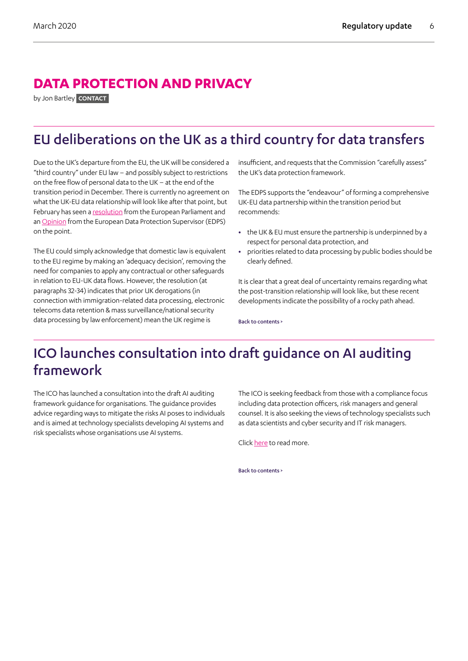### <span id="page-5-0"></span>**DATA PROTECTION AND PRIVACY**

by Jon Bartley **CONTACT**

## EU deliberations on the UK as a third country for data transfers

Due to the UK's departure from the EU, the UK will be considered a "third country" under EU law – and possibly subject to restrictions on the free flow of personal data to the UK – at the end of the transition period in December. There is currently no agreement on what the UK-EU data relationship will look like after that point, but February has seen a [resolution](https://www.europarl.europa.eu/doceo/document/TA-9-2020-0033_EN.html) from the European Parliament and an [Opinion](https://edps.europa.eu/sites/edp/files/publication/20-02-24_opinion-eu-uk-partnership_en.pdf) from the European Data Protection Supervisor (EDPS) on the point.

The EU could simply acknowledge that domestic law is equivalent to the EU regime by making an 'adequacy decision', removing the need for companies to apply any contractual or other safeguards in relation to EU-UK data flows. However, the resolution (at paragraphs 32-34) indicates that prior UK derogations (in connection with immigration-related data processing, electronic telecoms data retention & mass surveillance/national security data processing by law enforcement) mean the UK regime is

insufficient, and requests that the Commission "carefully assess" the UK's data protection framework.

The EDPS supports the "endeavour" of forming a comprehensive UK-EU data partnership within the transition period but recommends:

- **•** the UK & EU must ensure the partnership is underpinned by a respect for personal data protection, and
- **•** priorities related to data processing by public bodies should be clearly defined.

It is clear that a great deal of uncertainty remains regarding what the post-transition relationship will look like, but these recent developments indicate the possibility of a rocky path ahead.

[Back to contents >](#page-1-0)

## ICO launches consultation into draft guidance on AI auditing framework

The ICO has launched a consultation into the draft AI auditing framework guidance for organisations. The guidance provides advice regarding ways to mitigate the risks AI poses to individuals and is aimed at technology specialists developing AI systems and risk specialists whose organisations use AI systems.

The ICO is seeking feedback from those with a compliance focus including data protection officers, risk managers and general counsel. It is also seeking the views of technology specialists such as data scientists and cyber security and IT risk managers.

Click [here](https://ico.org.uk/about-the-ico/ico-and-stakeholder-consultations/ico-consultation-on-the-draft-ai-auditing-framework-guidance-for-organisations/) to read more.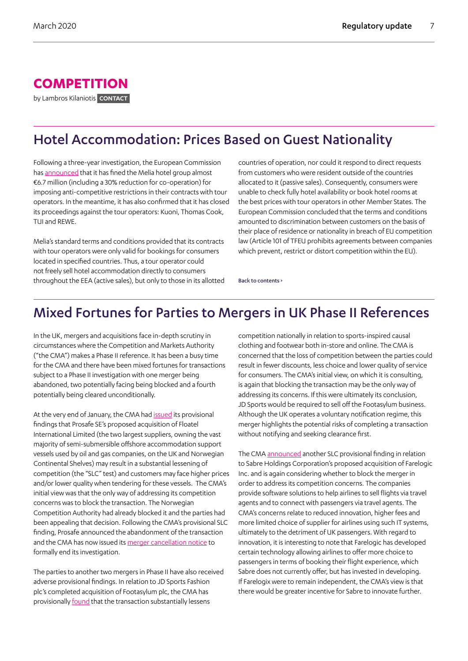### <span id="page-6-0"></span>**COMPETITION**

by Lambros Kilaniotis **CONTACT**

## Hotel Accommodation: Prices Based on Guest Nationality

Following a three-year investigation, the European Commission has [announced](https://ec.europa.eu/commission/presscorner/detail/en/ip_20_302) that it has fined the Melia hotel group almost €6.7 million (including a 30% reduction for co-operation) for imposing anti-competitive restrictions in their contracts with tour operators. In the meantime, it has also confirmed that it has closed its proceedings against the tour operators: Kuoni, Thomas Cook, TUI and REWE.

Melia's standard terms and conditions provided that its contracts with tour operators were only valid for bookings for consumers located in specified countries. Thus, a tour operator could not freely sell hotel accommodation directly to consumers throughout the EEA (active sales), but only to those in its allotted

countries of operation, nor could it respond to direct requests from customers who were resident outside of the countries allocated to it (passive sales). Consequently, consumers were unable to check fully hotel availability or book hotel rooms at the best prices with tour operators in other Member States. The European Commission concluded that the terms and conditions amounted to discrimination between customers on the basis of their place of residence or nationality in breach of EU competition law (Article 101 of TFEU prohibits agreements between companies which prevent, restrict or distort competition within the EU).

[Back to contents >](#page-1-0)

## Mixed Fortunes for Parties to Mergers in UK Phase II References

In the UK, mergers and acquisitions face in-depth scrutiny in circumstances where the Competition and Markets Authority ("the CMA") makes a Phase II reference. It has been a busy time for the CMA and there have been mixed fortunes for transactions subject to a Phase II investigation with one merger being abandoned, two potentially facing being blocked and a fourth potentially being cleared unconditionally.

At the very end of January, the CMA had [issued](https://www.gov.uk/government/news/deal-between-prosafe-and-floatel-raises-competition-concerns) its provisional findings that Prosafe SE's proposed acquisition of Floatel International Limited (the two largest suppliers, owning the vast majority of semi-submersible offshore accommodation support vessels used by oil and gas companies, on the UK and Norwegian Continental Shelves) may result in a substantial lessening of competition (the "SLC" test) and customers may face higher prices and/or lower quality when tendering for these vessels. The CMA's initial view was that the only way of addressing its competition concerns was to block the transaction. The Norwegian Competition Authority had already blocked it and the parties had been appealing that decision. Following the CMA's provisional SLC finding, Prosafe announced the abandonment of the transaction and the CMA has now issued its [merger cancellation notice](https://assets.publishing.service.gov.uk/media/5e46761f40f0b677ca249fb0/Notice_of_cancellation_of_merger_reference_-_Prosafe_-_Floatel_---.pdf) to formally end its investigation.

The parties to another two mergers in Phase II have also received adverse provisional findings. In relation to JD Sports Fashion plc's completed acquisition of Footasylum plc, the CMA has provisionally [found](https://www.gov.uk/government/news/shoppers-could-lose-out-in-sports-fashion-merger) that the transaction substantially lessens

competition nationally in relation to sports-inspired causal clothing and footwear both in-store and online. The CMA is concerned that the loss of competition between the parties could result in fewer discounts, less choice and lower quality of service for consumers. The CMA's initial view, on which it is consulting, is again that blocking the transaction may be the only way of addressing its concerns. If this were ultimately its conclusion, JD Sports would be required to sell off the Footasylum business. Although the UK operates a voluntary notification regime, this merger highlights the potential risks of completing a transaction without notifying and seeking clearance first.

The CMA [announced](https://www.gov.uk/government/news/cma-provisionally-finds-competition-concerns-in-airline-booking-merger) another SLC provisional finding in relation to Sabre Holdings Corporation's proposed acquisition of Farelogic Inc. and is again considering whether to block the merger in order to address its competition concerns. The companies provide software solutions to help airlines to sell flights via travel agents and to connect with passengers via travel agents. The CMA's concerns relate to reduced innovation, higher fees and more limited choice of supplier for airlines using such IT systems, ultimately to the detriment of UK passengers. With regard to innovation, it is interesting to note that Farelogic has developed certain technology allowing airlines to offer more choice to passengers in terms of booking their flight experience, which Sabre does not currently offer, but has invested in developing. If Farelogix were to remain independent, the CMA's view is that there would be greater incentive for Sabre to innovate further.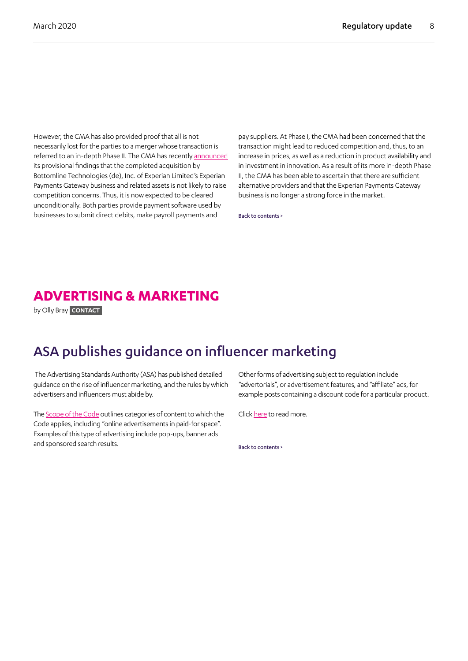<span id="page-7-0"></span>However, the CMA has also provided proof that all is not necessarily lost for the parties to a merger whose transaction is referred to an in-depth Phase II. The CMA has recently [announced](https://www.gov.uk/government/news/payment-software-deal-does-not-raise-competition-concerns) its provisional findings that the completed acquisition by Bottomline Technologies (de), Inc. of Experian Limited's Experian Payments Gateway business and related assets is not likely to raise competition concerns. Thus, it is now expected to be cleared unconditionally. Both parties provide payment software used by businesses to submit direct debits, make payroll payments and

pay suppliers. At Phase I, the CMA had been concerned that the transaction might lead to reduced competition and, thus, to an increase in prices, as well as a reduction in product availability and in investment in innovation. As a result of its more in-depth Phase II, the CMA has been able to ascertain that there are sufficient alternative providers and that the Experian Payments Gateway business is no longer a strong force in the market.

[Back to contents >](#page-1-0)

### **ADVERTISING & MARKETING**

by Olly Bray **CONTACT**

### ASA publishes guidance on influencer marketing

 The Advertising Standards Authority (ASA) has published detailed guidance on the rise of influencer marketing, and the rules by which advertisers and influencers must abide by.

The [Scope of the Code](https://www.asa.org.uk/type/non_broadcast/code_folder/scope-of-the-code.html) outlines categories of content to which the Code applies, including "online advertisements in paid-for space". Examples of this type of advertising include pop-ups, banner ads and sponsored search results.

Other forms of advertising subject to regulation include "advertorials", or advertisement features, and "affiliate" ads, for example posts containing a discount code for a particular product.

Click [here](https://www.asa.org.uk/news/influencingresponsibly-the-asa-s-jurisdiction.html) to read more.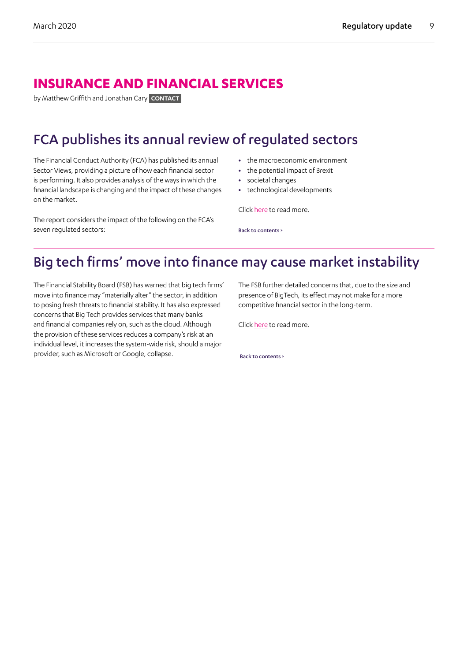### <span id="page-8-0"></span>**INSURANCE AND FINANCIAL SERVICES**

by Matthew Griffith and Jonathan Cary **CONTACT**

## FCA publishes its annual review of regulated sectors

The Financial Conduct Authority (FCA) has published its annual Sector Views, providing a picture of how each financial sector is performing. It also provides analysis of the ways in which the financial landscape is changing and the impact of these changes on the market.

The report considers the impact of the following on the FCA's seven regulated sectors:

- **•** the macroeconomic environment
- **•** the potential impact of Brexit
- **•** societal changes
- **•** technological developments

Click [here](https://www.fca.org.uk/publication/corporate/sector-views-2020.pdf#page=32) to read more.

[Back to contents >](#page-1-0)

## Big tech firms' move into finance may cause market instability

The Financial Stability Board (FSB) has warned that big tech firms' move into finance may "materially alter" the sector, in addition to posing fresh threats to financial stability. It has also expressed concerns that Big Tech provides services that many banks and financial companies rely on, such as the cloud. Although the provision of these services reduces a company's risk at an individual level, it increases the system-wide risk, should a major provider, such as Microsoft or Google, collapse.

The FSB further detailed concerns that, due to the size and presence of BigTech, its effect may not make for a more competitive financial sector in the long-term.

Click [here](https://www.ft.com/content/f1e67d0e-3085-11e9-8744-e7016697f225) to read more.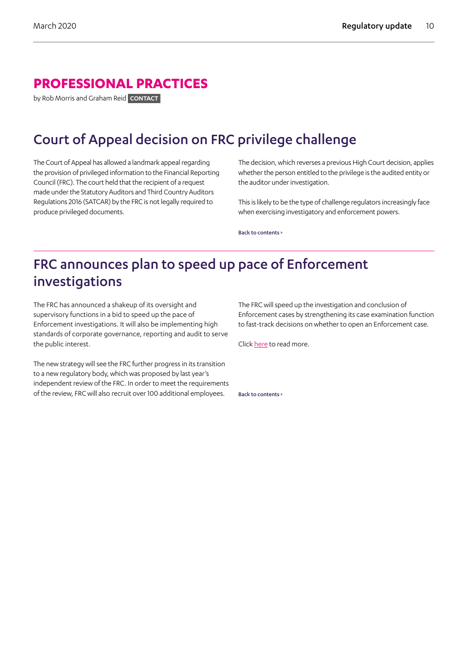### <span id="page-9-0"></span>**PROFESSIONAL PRACTICES**

by Rob Morris and Graham Reid **CONTACT**

## Court of Appeal decision on FRC privilege challenge

The Court of Appeal has allowed a landmark appeal regarding the provision of privileged information to the Financial Reporting Council (FRC). The court held that the recipient of a request made under the Statutory Auditors and Third Country Auditors Regulations 2016 (SATCAR) by the FRC is not legally required to produce privileged documents.

The decision, which reverses a previous High Court decision, applies whether the person entitled to the privilege is the audited entity or the auditor under investigation.

This is likely to be the type of challenge regulators increasingly face when exercising investigatory and enforcement powers.

[Back to contents >](#page-1-0)

## FRC announces plan to speed up pace of Enforcement investigations

The FRC has announced a shakeup of its oversight and supervisory functions in a bid to speed up the pace of Enforcement investigations. It will also be implementing high standards of corporate governance, reporting and audit to serve the public interest.

The new strategy will see the FRC further progress in its transition to a new regulatory body, which was proposed by last year's independent review of the FRC. In order to meet the requirements of the review, FRC will also recruit over 100 additional employees.

The FRC will speed up the investigation and conclusion of Enforcement cases by strengthening its case examination function to fast-track decisions on whether to open an Enforcement case.

Click [here](https://www.frc.org.uk/news/february-2020-(1)/frc-plan-for-greater-regulatory-oversight) to read more.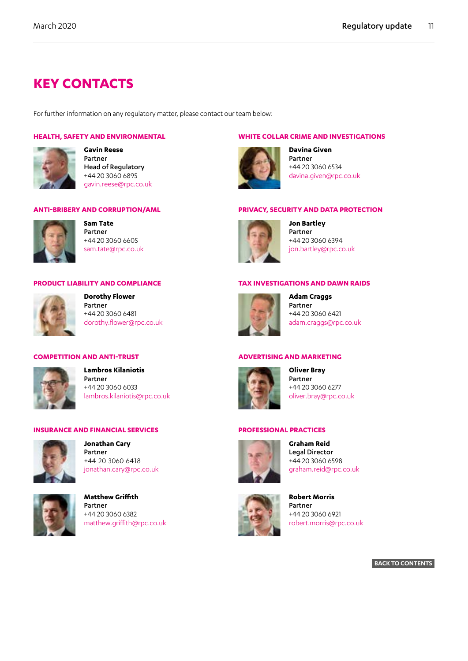### <span id="page-10-0"></span>**KEY CONTACTS**

For further information on any regulatory matter, please contact our team below:

#### **HEALTH, SAFETY AND ENVIRONMENTAL**



**Gavin Reese** Partner Head of Regulatory +44 20 3060 6895 gavin.reese@rpc.co.uk

#### **ANTI-BRIBERY AND CORRUPTION/AML**



**Sam Tate** Partner +44 20 3060 6605 sam.tate@rpc.co.uk

#### **PRODUCT LIABILITY AND COMPLIANCE**

**Dorothy Flower** Partner +44 20 3060 6481 dorothy.flower@rpc.co.uk

#### **COMPETITION AND ANTI-TRUST**



**Lambros Kilaniotis** Partner +44 20 3060 6033 lambros.kilaniotis@rpc.co.uk

#### **INSURANCE AND FINANCIAL SERVICES**



**Jonathan Cary** Partner +44 20 3060 6418 jonathan.cary@rpc.co.uk



**Matthew Griffith** Partner +44 20 3060 6382 matthew.griffith@rpc.co.uk

#### **WHITE COLLAR CRIME AND INVESTIGATIONS**



**Davina Given** Partner +44 20 3060 6534 davina.given@rpc.co.uk

#### **PRIVACY, SECURITY AND DATA PROTECTION**



**Jon Bartley** Partner +44 20 3060 6394 jon.bartley@rpc.co.uk

#### **TAX INVESTIGATIONS AND DAWN RAIDS**



**Adam Craggs** Partner +44 20 3060 6421 adam.craggs@rpc.co.uk

#### **ADVERTISING AND MARKETING**

**Oliver Bray** Partner +44 20 3060 6277 oliver.bray@rpc.co.uk

#### **PROFESSIONAL PRACTICES**



**Graham Reid** Legal Director +44 20 3060 6598 graham.reid@rpc.co.uk

![](_page_10_Picture_35.jpeg)

**Robert Morris** Partner +44 20 3060 6921 robert.morris@rpc.co.uk

#### **BACK TO CONTENTS**